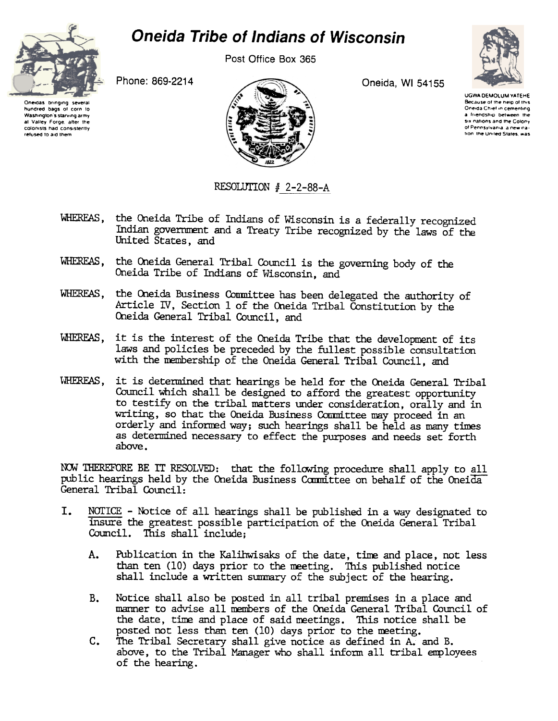## **Oneida Tribe of Indians of Wisconsin**

refused to aid them

Post Office Box 365

Oneida, WI 54155



**UGWA DEMOLUM YATEHE** Because of the help of this Oneida Chief in cementing a friendship between the six nations and the Colony of Pennsylvania, a new nation the United States, was

Oneidas bringing several hundred bags of corn to Washington's starving army at Valley Forge, after the colonists had consistently Phone: 869-2214



RESOLUTION # 2-2-88-A

- WHEREAS, the Oneida Tribe of Indians of Wisconsin is a federally recognized Indian government and a Treaty Tribe recognized by the laws of the United States, and
- WHEREAS, the Oneida General Tribal Council is the governing body of the Oneida Tribe of Indians of Wisconsin, and
- WHEREAS, the Oneida Business Committee has been delegated the authority of Article IV, Section 1 of the Oneida Tribal Constitution by the Oneida General Tribal Council, and
- WHEREAS. it is the interest of the Oneida Tribe that the development of its laws and policies be preceded by the fullest possible consultation with the membership of the Oneida General Tribal Council, and
- WHEREAS. it is determined that hearings be held for the Oneida General Tribal Council which shall be designed to afford the greatest opportunity to testify on the tribal matters under consideration, orally and in writing, so that the Oneida Business Committee may proceed in an orderly and informed way; such hearings shall be held as many times as determined necessary to effect the purposes and needs set forth above.

NOW THEREFORE BE IT RESOLVED: that the following procedure shall apply to all public hearings held by the Oneida Business Committee on behalf of the Oneida General Tribal Council:

- L. NOTICE - Notice of all hearings shall be published in a way designated to insure the greatest possible participation of the Oneida General Tribal Council. This shall include:
	- Publication in the Kalihwisaks of the date, time and place, not less A. than ten (10) days prior to the meeting. This published notice shall include a written summary of the subject of the hearing.
	- Notice shall also be posted in all tribal premises in a place and **B.** manner to advise all members of the Oneida General Tribal Council of the date, time and place of said meetings. This notice shall be posted not less than ten (10) days prior to the meeting.
	- $C_{\bullet}$ The Tribal Secretary shall give notice as defined in A, and B. above, to the Tribal Manager who shall inform all tribal employees of the hearing.